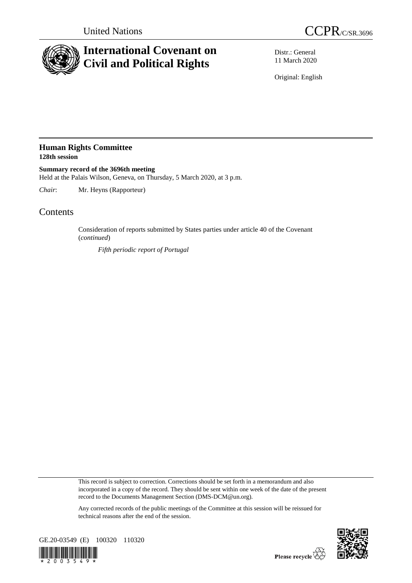

## **International Covenant on Civil and Political Rights**

Distr.: General 11 March 2020

Original: English

## **Human Rights Committee 128th session**

**Summary record of the 3696th meeting** Held at the Palais Wilson, Geneva, on Thursday, 5 March 2020, at 3 p.m.

*Chair*: Mr. Heyns (Rapporteur)

## **Contents**

Consideration of reports submitted by States parties under article 40 of the Covenant (*continued*)

*Fifth periodic report of Portugal*

This record is subject to correction. Corrections should be set forth in a memorandum and also incorporated in a copy of the record. They should be sent within one week of the date of the present record to the Documents Management Section (DMS-DCM@un.org).

Any corrected records of the public meetings of the Committee at this session will be reissued for technical reasons after the end of the session.



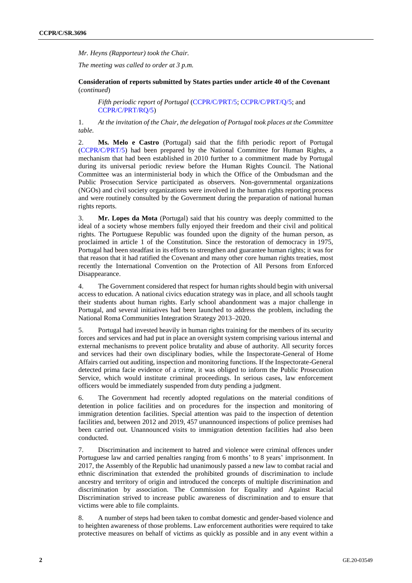*Mr. Heyns (Rapporteur) took the Chair.*

*The meeting was called to order at 3 p.m.*

**Consideration of reports submitted by States parties under article 40 of the Covenant**  (*continued*)

*Fifth periodic report of Portugal* [\(CCPR/C/PRT/5;](https://undocs.org/en/CCPR/C/PRT/5) [CCPR/C/PRT/Q/5;](https://undocs.org/en/CCPR/C/PRT/Q/5) and [CCPR/C/PRT/RQ/5\)](https://undocs.org/en/CCPR/C/PRT/RQ/5)

1. *At the invitation of the Chair, the delegation of Portugal took places at the Committee table.* 

2. **Ms. Melo e Castro** (Portugal) said that the fifth periodic report of Portugal [\(CCPR/C/PRT/5\)](https://undocs.org/en/CCPR/C/PRT/5) had been prepared by the National Committee for Human Rights, a mechanism that had been established in 2010 further to a commitment made by Portugal during its universal periodic review before the Human Rights Council. The National Committee was an interministerial body in which the Office of the Ombudsman and the Public Prosecution Service participated as observers. Non-governmental organizations (NGOs) and civil society organizations were involved in the human rights reporting process and were routinely consulted by the Government during the preparation of national human rights reports.

3. **Mr. Lopes da Mota** (Portugal) said that his country was deeply committed to the ideal of a society whose members fully enjoyed their freedom and their civil and political rights. The Portuguese Republic was founded upon the dignity of the human person, as proclaimed in article 1 of the Constitution. Since the restoration of democracy in 1975, Portugal had been steadfast in its efforts to strengthen and guarantee human rights; it was for that reason that it had ratified the Covenant and many other core human rights treaties, most recently the International Convention on the Protection of All Persons from Enforced Disappearance.

4. The Government considered that respect for human rights should begin with universal access to education. A national civics education strategy was in place, and all schools taught their students about human rights. Early school abandonment was a major challenge in Portugal, and several initiatives had been launched to address the problem, including the National Roma Communities Integration Strategy 2013–2020.

5. Portugal had invested heavily in human rights training for the members of its security forces and services and had put in place an oversight system comprising various internal and external mechanisms to prevent police brutality and abuse of authority. All security forces and services had their own disciplinary bodies, while the Inspectorate-General of Home Affairs carried out auditing, inspection and monitoring functions. If the Inspectorate-General detected prima facie evidence of a crime, it was obliged to inform the Public Prosecution Service, which would institute criminal proceedings. In serious cases, law enforcement officers would be immediately suspended from duty pending a judgment.

6. The Government had recently adopted regulations on the material conditions of detention in police facilities and on procedures for the inspection and monitoring of immigration detention facilities. Special attention was paid to the inspection of detention facilities and, between 2012 and 2019, 457 unannounced inspections of police premises had been carried out. Unannounced visits to immigration detention facilities had also been conducted.

7. Discrimination and incitement to hatred and violence were criminal offences under Portuguese law and carried penalties ranging from 6 months' to 8 years' imprisonment. In 2017, the Assembly of the Republic had unanimously passed a new law to combat racial and ethnic discrimination that extended the prohibited grounds of discrimination to include ancestry and territory of origin and introduced the concepts of multiple discrimination and discrimination by association. The Commission for Equality and Against Racial Discrimination strived to increase public awareness of discrimination and to ensure that victims were able to file complaints.

8. A number of steps had been taken to combat domestic and gender-based violence and to heighten awareness of those problems. Law enforcement authorities were required to take protective measures on behalf of victims as quickly as possible and in any event within a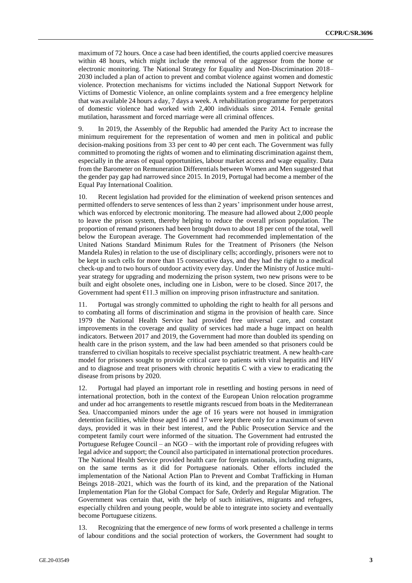maximum of 72 hours. Once a case had been identified, the courts applied coercive measures within 48 hours, which might include the removal of the aggressor from the home or electronic monitoring. The National Strategy for Equality and Non-Discrimination 2018– 2030 included a plan of action to prevent and combat violence against women and domestic violence. Protection mechanisms for victims included the National Support Network for Victims of Domestic Violence, an online complaints system and a free emergency helpline that was available 24 hours a day, 7 days a week. A rehabilitation programme for perpetrators of domestic violence had worked with 2,400 individuals since 2014. Female genital mutilation, harassment and forced marriage were all criminal offences.

9. In 2019, the Assembly of the Republic had amended the Parity Act to increase the minimum requirement for the representation of women and men in political and public decision-making positions from 33 per cent to 40 per cent each. The Government was fully committed to promoting the rights of women and to eliminating discrimination against them, especially in the areas of equal opportunities, labour market access and wage equality. Data from the Barometer on Remuneration Differentials between Women and Men suggested that the gender pay gap had narrowed since 2015. In 2019, Portugal had become a member of the Equal Pay International Coalition.

10. Recent legislation had provided for the elimination of weekend prison sentences and permitted offenders to serve sentences of less than 2 years' imprisonment under house arrest, which was enforced by electronic monitoring. The measure had allowed about 2,000 people to leave the prison system, thereby helping to reduce the overall prison population. The proportion of remand prisoners had been brought down to about 18 per cent of the total, well below the European average. The Government had recommended implementation of the United Nations Standard Minimum Rules for the Treatment of Prisoners (the Nelson Mandela Rules) in relation to the use of disciplinary cells; accordingly, prisoners were not to be kept in such cells for more than 15 consecutive days, and they had the right to a medical check-up and to two hours of outdoor activity every day. Under the Ministry of Justice multiyear strategy for upgrading and modernizing the prison system, two new prisons were to be built and eight obsolete ones, including one in Lisbon, were to be closed. Since 2017, the Government had spent  $\epsilon$ 11.3 million on improving prison infrastructure and sanitation.

11. Portugal was strongly committed to upholding the right to health for all persons and to combating all forms of discrimination and stigma in the provision of health care. Since 1979 the National Health Service had provided free universal care, and constant improvements in the coverage and quality of services had made a huge impact on health indicators. Between 2017 and 2019, the Government had more than doubled its spending on health care in the prison system, and the law had been amended so that prisoners could be transferred to civilian hospitals to receive specialist psychiatric treatment. A new health-care model for prisoners sought to provide critical care to patients with viral hepatitis and HIV and to diagnose and treat prisoners with chronic hepatitis C with a view to eradicating the disease from prisons by 2020.

12. Portugal had played an important role in resettling and hosting persons in need of international protection, both in the context of the European Union relocation programme and under ad hoc arrangements to resettle migrants rescued from boats in the Mediterranean Sea. Unaccompanied minors under the age of 16 years were not housed in immigration detention facilities, while those aged 16 and 17 were kept there only for a maximum of seven days, provided it was in their best interest, and the Public Prosecution Service and the competent family court were informed of the situation. The Government had entrusted the Portuguese Refugee Council – an NGO – with the important role of providing refugees with legal advice and support; the Council also participated in international protection procedures. The National Health Service provided health care for foreign nationals, including migrants, on the same terms as it did for Portuguese nationals. Other efforts included the implementation of the National Action Plan to Prevent and Combat Trafficking in Human Beings 2018–2021, which was the fourth of its kind, and the preparation of the National Implementation Plan for the Global Compact for Safe, Orderly and Regular Migration. The Government was certain that, with the help of such initiatives, migrants and refugees, especially children and young people, would be able to integrate into society and eventually become Portuguese citizens.

13. Recognizing that the emergence of new forms of work presented a challenge in terms of labour conditions and the social protection of workers, the Government had sought to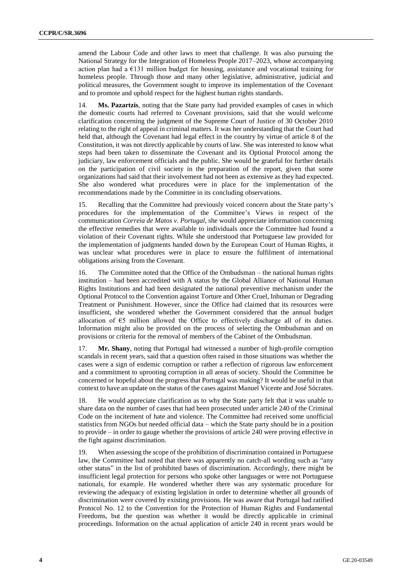amend the Labour Code and other laws to meet that challenge. It was also pursuing the National Strategy for the Integration of Homeless People 2017–2023, whose accompanying action plan had a €131 million budget for housing, assistance and vocational training for homeless people. Through those and many other legislative, administrative, judicial and political measures, the Government sought to improve its implementation of the Covenant and to promote and uphold respect for the highest human rights standards.

14. **Ms. Pazartzis**, noting that the State party had provided examples of cases in which the domestic courts had referred to Covenant provisions, said that she would welcome clarification concerning the judgment of the Supreme Court of Justice of 30 October 2010 relating to the right of appeal in criminal matters. It was her understanding that the Court had held that, although the Covenant had legal effect in the country by virtue of article 8 of the Constitution, it was not directly applicable by courts of law. She was interested to know what steps had been taken to disseminate the Covenant and its Optional Protocol among the judiciary, law enforcement officials and the public. She would be grateful for further details on the participation of civil society in the preparation of the report, given that some organizations had said that their involvement had not been as extensive as they had expected. She also wondered what procedures were in place for the implementation of the recommendations made by the Committee in its concluding observations.

15. Recalling that the Committee had previously voiced concern about the State party's procedures for the implementation of the Committee's Views in respect of the communication *Correia de Matos v. Portugal*, she would appreciate information concerning the effective remedies that were available to individuals once the Committee had found a violation of their Covenant rights. While she understood that Portuguese law provided for the implementation of judgments handed down by the European Court of Human Rights, it was unclear what procedures were in place to ensure the fulfilment of international obligations arising from the Covenant.

16. The Committee noted that the Office of the Ombudsman – the national human rights institution – had been accredited with A status by the Global Alliance of National Human Rights Institutions and had been designated the national preventive mechanism under the Optional Protocol to the Convention against Torture and Other Cruel, Inhuman or Degrading Treatment or Punishment. However, since the Office had claimed that its resources were insufficient, she wondered whether the Government considered that the annual budget allocation of  $\epsilon$ 5 million allowed the Office to effectively discharge all of its duties. Information might also be provided on the process of selecting the Ombudsman and on provisions or criteria for the removal of members of the Cabinet of the Ombudsman.

17. **Mr. Shany**, noting that Portugal had witnessed a number of high-profile corruption scandals in recent years, said that a question often raised in those situations was whether the cases were a sign of endemic corruption or rather a reflection of rigorous law enforcement and a commitment to uprooting corruption in all areas of society. Should the Committee be concerned or hopeful about the progress that Portugal was making? It would be useful in that context to have an update on the status of the cases against Manuel Vicente and José Sócrates.

18. He would appreciate clarification as to why the State party felt that it was unable to share data on the number of cases that had been prosecuted under article 240 of the Criminal Code on the incitement of hate and violence. The Committee had received some unofficial statistics from NGOs but needed official data – which the State party should be in a position to provide – in order to gauge whether the provisions of article 240 were proving effective in the fight against discrimination.

19. When assessing the scope of the prohibition of discrimination contained in Portuguese law, the Committee had noted that there was apparently no catch-all wording such as "any other status" in the list of prohibited bases of discrimination. Accordingly, there might be insufficient legal protection for persons who spoke other languages or were not Portuguese nationals, for example. He wondered whether there was any systematic procedure for reviewing the adequacy of existing legislation in order to determine whether all grounds of discrimination were covered by existing provisions. He was aware that Portugal had ratified Protocol No. 12 to the Convention for the Protection of Human Rights and Fundamental Freedoms, but the question was whether it would be directly applicable in criminal proceedings. Information on the actual application of article 240 in recent years would be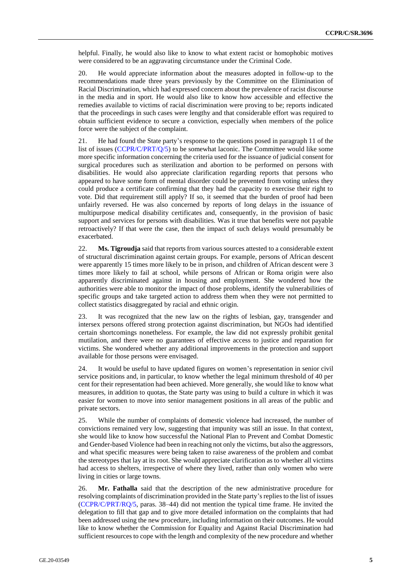helpful. Finally, he would also like to know to what extent racist or homophobic motives were considered to be an aggravating circumstance under the Criminal Code.

20. He would appreciate information about the measures adopted in follow-up to the recommendations made three years previously by the Committee on the Elimination of Racial Discrimination, which had expressed concern about the prevalence of racist discourse in the media and in sport. He would also like to know how accessible and effective the remedies available to victims of racial discrimination were proving to be; reports indicated that the proceedings in such cases were lengthy and that considerable effort was required to obtain sufficient evidence to secure a conviction, especially when members of the police force were the subject of the complaint.

21. He had found the State party's response to the questions posed in paragraph 11 of the list of issues [\(CCPR/C/PRT/Q/5\)](https://undocs.org/en/CCPR/C/PRT/Q/5) to be somewhat laconic. The Committee would like some more specific information concerning the criteria used for the issuance of judicial consent for surgical procedures such as sterilization and abortion to be performed on persons with disabilities. He would also appreciate clarification regarding reports that persons who appeared to have some form of mental disorder could be prevented from voting unless they could produce a certificate confirming that they had the capacity to exercise their right to vote. Did that requirement still apply? If so, it seemed that the burden of proof had been unfairly reversed. He was also concerned by reports of long delays in the issuance of multipurpose medical disability certificates and, consequently, in the provision of basic support and services for persons with disabilities. Was it true that benefits were not payable retroactively? If that were the case, then the impact of such delays would presumably be exacerbated.

22. **Ms. Tigroudja** said that reports from various sources attested to a considerable extent of structural discrimination against certain groups. For example, persons of African descent were apparently 15 times more likely to be in prison, and children of African descent were 3 times more likely to fail at school, while persons of African or Roma origin were also apparently discriminated against in housing and employment. She wondered how the authorities were able to monitor the impact of those problems, identify the vulnerabilities of specific groups and take targeted action to address them when they were not permitted to collect statistics disaggregated by racial and ethnic origin.

23. It was recognized that the new law on the rights of lesbian, gay, transgender and intersex persons offered strong protection against discrimination, but NGOs had identified certain shortcomings nonetheless. For example, the law did not expressly prohibit genital mutilation, and there were no guarantees of effective access to justice and reparation for victims. She wondered whether any additional improvements in the protection and support available for those persons were envisaged.

24. It would be useful to have updated figures on women's representation in senior civil service positions and, in particular, to know whether the legal minimum threshold of 40 per cent for their representation had been achieved. More generally, she would like to know what measures, in addition to quotas, the State party was using to build a culture in which it was easier for women to move into senior management positions in all areas of the public and private sectors.

25. While the number of complaints of domestic violence had increased, the number of convictions remained very low, suggesting that impunity was still an issue. In that context, she would like to know how successful the National Plan to Prevent and Combat Domestic and Gender-based Violence had been in reaching not only the victims, but also the aggressors, and what specific measures were being taken to raise awareness of the problem and combat the stereotypes that lay at its root. She would appreciate clarification as to whether all victims had access to shelters, irrespective of where they lived, rather than only women who were living in cities or large towns.

26. **Mr. Fathalla** said that the description of the new administrative procedure for resolving complaints of discrimination provided in the State party's replies to the list of issues [\(CCPR/C/PRT/RQ/5,](https://undocs.org/en/CCPR/C/PRT/RQ/5) paras. 38–44) did not mention the typical time frame. He invited the delegation to fill that gap and to give more detailed information on the complaints that had been addressed using the new procedure, including information on their outcomes. He would like to know whether the Commission for Equality and Against Racial Discrimination had sufficient resources to cope with the length and complexity of the new procedure and whether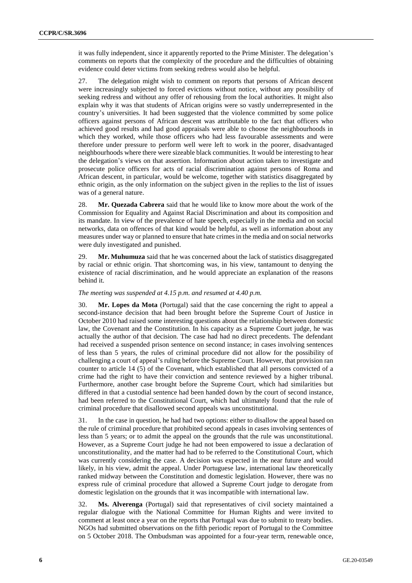it was fully independent, since it apparently reported to the Prime Minister. The delegation's comments on reports that the complexity of the procedure and the difficulties of obtaining evidence could deter victims from seeking redress would also be helpful.

27. The delegation might wish to comment on reports that persons of African descent were increasingly subjected to forced evictions without notice, without any possibility of seeking redress and without any offer of rehousing from the local authorities. It might also explain why it was that students of African origins were so vastly underrepresented in the country's universities. It had been suggested that the violence committed by some police officers against persons of African descent was attributable to the fact that officers who achieved good results and had good appraisals were able to choose the neighbourhoods in which they worked, while those officers who had less favourable assessments and were therefore under pressure to perform well were left to work in the poorer, disadvantaged neighbourhoods where there were sizeable black communities. It would be interesting to hear the delegation's views on that assertion. Information about action taken to investigate and prosecute police officers for acts of racial discrimination against persons of Roma and African descent, in particular, would be welcome, together with statistics disaggregated by ethnic origin, as the only information on the subject given in the replies to the list of issues was of a general nature.

28. **Mr. Quezada Cabrera** said that he would like to know more about the work of the Commission for Equality and Against Racial Discrimination and about its composition and its mandate. In view of the prevalence of hate speech, especially in the media and on social networks, data on offences of that kind would be helpful, as well as information about any measures under way or planned to ensure that hate crimes in the media and on social networks were duly investigated and punished.

29. **Mr. Muhumuza** said that he was concerned about the lack of statistics disaggregated by racial or ethnic origin. That shortcoming was, in his view, tantamount to denying the existence of racial discrimination, and he would appreciate an explanation of the reasons behind it.

## *The meeting was suspended at 4.15 p.m. and resumed at 4.40 p.m.*

30. **Mr. Lopes da Mota** (Portugal) said that the case concerning the right to appeal a second-instance decision that had been brought before the Supreme Court of Justice in October 2010 had raised some interesting questions about the relationship between domestic law, the Covenant and the Constitution. In his capacity as a Supreme Court judge, he was actually the author of that decision. The case had had no direct precedents. The defendant had received a suspended prison sentence on second instance; in cases involving sentences of less than 5 years, the rules of criminal procedure did not allow for the possibility of challenging a court of appeal's ruling before the Supreme Court. However, that provision ran counter to article 14 (5) of the Covenant, which established that all persons convicted of a crime had the right to have their conviction and sentence reviewed by a higher tribunal. Furthermore, another case brought before the Supreme Court, which had similarities but differed in that a custodial sentence had been handed down by the court of second instance, had been referred to the Constitutional Court, which had ultimately found that the rule of criminal procedure that disallowed second appeals was unconstitutional.

31. In the case in question, he had had two options: either to disallow the appeal based on the rule of criminal procedure that prohibited second appeals in cases involving sentences of less than 5 years; or to admit the appeal on the grounds that the rule was unconstitutional. However, as a Supreme Court judge he had not been empowered to issue a declaration of unconstitutionality, and the matter had had to be referred to the Constitutional Court, which was currently considering the case. A decision was expected in the near future and would likely, in his view, admit the appeal. Under Portuguese law, international law theoretically ranked midway between the Constitution and domestic legislation. However, there was no express rule of criminal procedure that allowed a Supreme Court judge to derogate from domestic legislation on the grounds that it was incompatible with international law.

32. **Ms. Alverenga** (Portugal) said that representatives of civil society maintained a regular dialogue with the National Committee for Human Rights and were invited to comment at least once a year on the reports that Portugal was due to submit to treaty bodies. NGOs had submitted observations on the fifth periodic report of Portugal to the Committee on 5 October 2018. The Ombudsman was appointed for a four-year term, renewable once,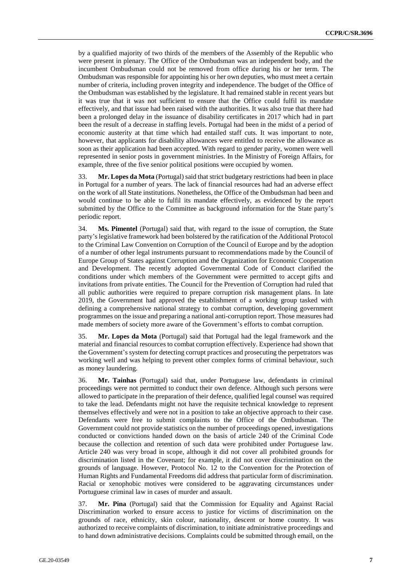by a qualified majority of two thirds of the members of the Assembly of the Republic who were present in plenary. The Office of the Ombudsman was an independent body, and the incumbent Ombudsman could not be removed from office during his or her term. The Ombudsman was responsible for appointing his or her own deputies, who must meet a certain number of criteria, including proven integrity and independence. The budget of the Office of the Ombudsman was established by the legislature. It had remained stable in recent years but it was true that it was not sufficient to ensure that the Office could fulfil its mandate effectively, and that issue had been raised with the authorities. It was also true that there had been a prolonged delay in the issuance of disability certificates in 2017 which had in part been the result of a decrease in staffing levels. Portugal had been in the midst of a period of economic austerity at that time which had entailed staff cuts. It was important to note, however, that applicants for disability allowances were entitled to receive the allowance as soon as their application had been accepted. With regard to gender parity, women were well represented in senior posts in government ministries. In the Ministry of Foreign Affairs, for example, three of the five senior political positions were occupied by women.

33. **Mr. Lopes da Mota** (Portugal) said that strict budgetary restrictions had been in place in Portugal for a number of years. The lack of financial resources had had an adverse effect on the work of all State institutions. Nonetheless, the Office of the Ombudsman had been and would continue to be able to fulfil its mandate effectively, as evidenced by the report submitted by the Office to the Committee as background information for the State party's periodic report.

34. **Ms. Pimentel** (Portugal) said that, with regard to the issue of corruption, the State party's legislative framework had been bolstered by the ratification of the Additional Protocol to the Criminal Law Convention on Corruption of the Council of Europe and by the adoption of a number of other legal instruments pursuant to recommendations made by the Council of Europe Group of States against Corruption and the Organization for Economic Cooperation and Development. The recently adopted Governmental Code of Conduct clarified the conditions under which members of the Government were permitted to accept gifts and invitations from private entities. The Council for the Prevention of Corruption had ruled that all public authorities were required to prepare corruption risk management plans. In late 2019, the Government had approved the establishment of a working group tasked with defining a comprehensive national strategy to combat corruption, developing government programmes on the issue and preparing a national anti-corruption report. Those measures had made members of society more aware of the Government's efforts to combat corruption.

35. **Mr. Lopes da Mota** (Portugal) said that Portugal had the legal framework and the material and financial resources to combat corruption effectively. Experience had shown that the Government's system for detecting corrupt practices and prosecuting the perpetrators was working well and was helping to prevent other complex forms of criminal behaviour, such as money laundering.

36. **Mr. Tainhas** (Portugal) said that, under Portuguese law, defendants in criminal proceedings were not permitted to conduct their own defence. Although such persons were allowed to participate in the preparation of their defence, qualified legal counsel was required to take the lead. Defendants might not have the requisite technical knowledge to represent themselves effectively and were not in a position to take an objective approach to their case. Defendants were free to submit complaints to the Office of the Ombudsman. The Government could not provide statistics on the number of proceedings opened, investigations conducted or convictions handed down on the basis of article 240 of the Criminal Code because the collection and retention of such data were prohibited under Portuguese law. Article 240 was very broad in scope, although it did not cover all prohibited grounds for discrimination listed in the Covenant; for example, it did not cover discrimination on the grounds of language. However, Protocol No. 12 to the Convention for the Protection of Human Rights and Fundamental Freedoms did address that particular form of discrimination. Racial or xenophobic motives were considered to be aggravating circumstances under Portuguese criminal law in cases of murder and assault.

37. **Mr. Pina** (Portugal) said that the Commission for Equality and Against Racial Discrimination worked to ensure access to justice for victims of discrimination on the grounds of race, ethnicity, skin colour, nationality, descent or home country. It was authorized to receive complaints of discrimination, to initiate administrative proceedings and to hand down administrative decisions. Complaints could be submitted through email, on the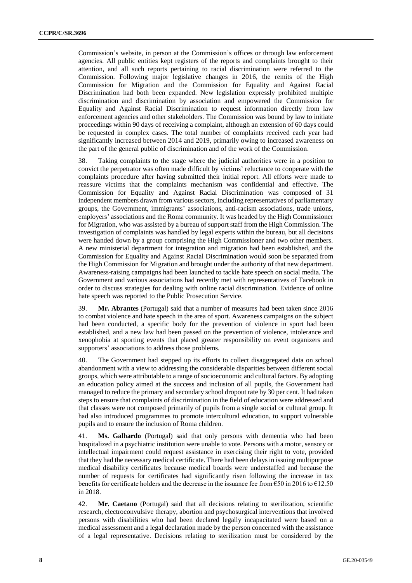Commission's website, in person at the Commission's offices or through law enforcement agencies. All public entities kept registers of the reports and complaints brought to their attention, and all such reports pertaining to racial discrimination were referred to the Commission. Following major legislative changes in 2016, the remits of the High Commission for Migration and the Commission for Equality and Against Racial Discrimination had both been expanded. New legislation expressly prohibited multiple discrimination and discrimination by association and empowered the Commission for Equality and Against Racial Discrimination to request information directly from law enforcement agencies and other stakeholders. The Commission was bound by law to initiate proceedings within 90 days of receiving a complaint, although an extension of 60 days could be requested in complex cases. The total number of complaints received each year had significantly increased between 2014 and 2019, primarily owing to increased awareness on the part of the general public of discrimination and of the work of the Commission.

38. Taking complaints to the stage where the judicial authorities were in a position to convict the perpetrator was often made difficult by victims' reluctance to cooperate with the complaints procedure after having submitted their initial report. All efforts were made to reassure victims that the complaints mechanism was confidential and effective. The Commission for Equality and Against Racial Discrimination was composed of 31 independent members drawn from various sectors, including representatives of parliamentary groups, the Government, immigrants' associations, anti-racism associations, trade unions, employers' associations and the Roma community. It was headed by the High Commissioner for Migration, who was assisted by a bureau of support staff from the High Commission. The investigation of complaints was handled by legal experts within the bureau, but all decisions were handed down by a group comprising the High Commissioner and two other members. A new ministerial department for integration and migration had been established, and the Commission for Equality and Against Racial Discrimination would soon be separated from the High Commission for Migration and brought under the authority of that new department. Awareness-raising campaigns had been launched to tackle hate speech on social media. The Government and various associations had recently met with representatives of Facebook in order to discuss strategies for dealing with online racial discrimination. Evidence of online hate speech was reported to the Public Prosecution Service.

39. **Mr. Abrantes** (Portugal) said that a number of measures had been taken since 2016 to combat violence and hate speech in the area of sport. Awareness campaigns on the subject had been conducted, a specific body for the prevention of violence in sport had been established, and a new law had been passed on the prevention of violence, intolerance and xenophobia at sporting events that placed greater responsibility on event organizers and supporters' associations to address those problems.

40. The Government had stepped up its efforts to collect disaggregated data on school abandonment with a view to addressing the considerable disparities between different social groups, which were attributable to a range of socioeconomic and cultural factors. By adopting an education policy aimed at the success and inclusion of all pupils, the Government had managed to reduce the primary and secondary school dropout rate by 30 per cent. It had taken steps to ensure that complaints of discrimination in the field of education were addressed and that classes were not composed primarily of pupils from a single social or cultural group. It had also introduced programmes to promote intercultural education, to support vulnerable pupils and to ensure the inclusion of Roma children.

41. **Ms. Galhardo** (Portugal) said that only persons with dementia who had been hospitalized in a psychiatric institution were unable to vote. Persons with a motor, sensory or intellectual impairment could request assistance in exercising their right to vote, provided that they had the necessary medical certificate. There had been delays in issuing multipurpose medical disability certificates because medical boards were understaffed and because the number of requests for certificates had significantly risen following the increase in tax benefits for certificate holders and the decrease in the issuance fee from  $\epsilon$ 50 in 2016 to  $\epsilon$ 12.50 in 2018.

42. **Mr. Caetano** (Portugal) said that all decisions relating to sterilization, scientific research, electroconvulsive therapy, abortion and psychosurgical interventions that involved persons with disabilities who had been declared legally incapacitated were based on a medical assessment and a legal declaration made by the person concerned with the assistance of a legal representative. Decisions relating to sterilization must be considered by the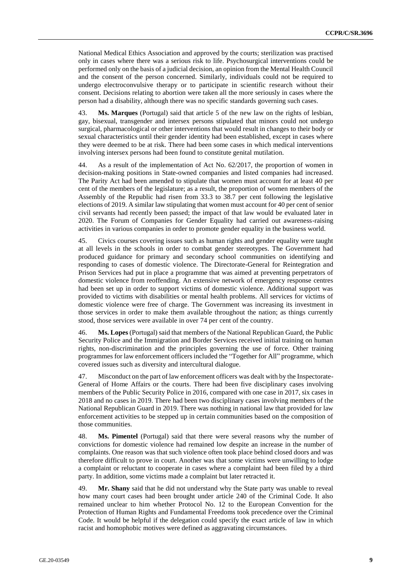National Medical Ethics Association and approved by the courts; sterilization was practised only in cases where there was a serious risk to life. Psychosurgical interventions could be performed only on the basis of a judicial decision, an opinion from the Mental Health Council and the consent of the person concerned. Similarly, individuals could not be required to undergo electroconvulsive therapy or to participate in scientific research without their consent. Decisions relating to abortion were taken all the more seriously in cases where the person had a disability, although there was no specific standards governing such cases.

43. **Ms. Marques** (Portugal) said that article 5 of the new law on the rights of lesbian, gay, bisexual, transgender and intersex persons stipulated that minors could not undergo surgical, pharmacological or other interventions that would result in changes to their body or sexual characteristics until their gender identity had been established, except in cases where they were deemed to be at risk. There had been some cases in which medical interventions involving intersex persons had been found to constitute genital mutilation.

44. As a result of the implementation of Act No. 62/2017, the proportion of women in decision-making positions in State-owned companies and listed companies had increased. The Parity Act had been amended to stipulate that women must account for at least 40 per cent of the members of the legislature; as a result, the proportion of women members of the Assembly of the Republic had risen from 33.3 to 38.7 per cent following the legislative elections of 2019. A similar law stipulating that women must account for 40 per cent of senior civil servants had recently been passed; the impact of that law would be evaluated later in 2020. The Forum of Companies for Gender Equality had carried out awareness-raising activities in various companies in order to promote gender equality in the business world.

45. Civics courses covering issues such as human rights and gender equality were taught at all levels in the schools in order to combat gender stereotypes. The Government had produced guidance for primary and secondary school communities on identifying and responding to cases of domestic violence. The Directorate-General for Reintegration and Prison Services had put in place a programme that was aimed at preventing perpetrators of domestic violence from reoffending. An extensive network of emergency response centres had been set up in order to support victims of domestic violence. Additional support was provided to victims with disabilities or mental health problems. All services for victims of domestic violence were free of charge. The Government was increasing its investment in those services in order to make them available throughout the nation; as things currently stood, those services were available in over 74 per cent of the country.

46. **Ms. Lopes** (Portugal) said that members of the National Republican Guard, the Public Security Police and the Immigration and Border Services received initial training on human rights, non-discrimination and the principles governing the use of force. Other training programmes for law enforcement officers included the "Together for All" programme, which covered issues such as diversity and intercultural dialogue.

47. Misconduct on the part of law enforcement officers was dealt with by the Inspectorate-General of Home Affairs or the courts. There had been five disciplinary cases involving members of the Public Security Police in 2016, compared with one case in 2017, six cases in 2018 and no cases in 2019. There had been two disciplinary cases involving members of the National Republican Guard in 2019. There was nothing in national law that provided for law enforcement activities to be stepped up in certain communities based on the composition of those communities.

48. **Ms. Pimentel** (Portugal) said that there were several reasons why the number of convictions for domestic violence had remained low despite an increase in the number of complaints. One reason was that such violence often took place behind closed doors and was therefore difficult to prove in court. Another was that some victims were unwilling to lodge a complaint or reluctant to cooperate in cases where a complaint had been filed by a third party. In addition, some victims made a complaint but later retracted it.

49. **Mr. Shany** said that he did not understand why the State party was unable to reveal how many court cases had been brought under article 240 of the Criminal Code. It also remained unclear to him whether Protocol No. 12 to the European Convention for the Protection of Human Rights and Fundamental Freedoms took precedence over the Criminal Code. It would be helpful if the delegation could specify the exact article of law in which racist and homophobic motives were defined as aggravating circumstances.